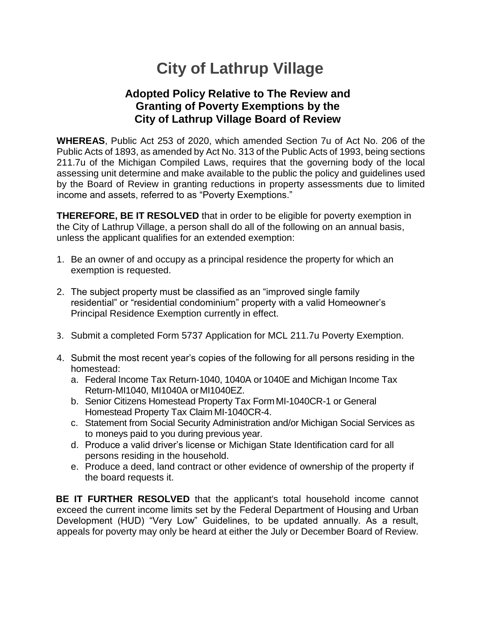## **City of Lathrup Village**

## **Adopted Policy Relative to The Review and Granting of Poverty Exemptions by the City of Lathrup Village Board of Review**

**WHEREAS**, Public Act 253 of 2020, which amended Section 7u of Act No. 206 of the Public Acts of 1893, as amended by Act No. 313 of the Public Acts of 1993, being sections 211.7u of the Michigan Compiled Laws, requires that the governing body of the local assessing unit determine and make available to the public the policy and guidelines used by the Board of Review in granting reductions in property assessments due to limited income and assets, referred to as "Poverty Exemptions."

**THEREFORE, BE IT RESOLVED** that in order to be eligible for poverty exemption in the City of Lathrup Village, a person shall do all of the following on an annual basis, unless the applicant qualifies for an extended exemption:

- 1. Be an owner of and occupy as a principal residence the property for which an exemption is requested.
- 2. The subject property must be classified as an "improved single family residential" or "residential condominium" property with a valid Homeowner's Principal Residence Exemption currently in effect.
- 3. Submit a completed Form 5737 Application for MCL 211.7u Poverty Exemption.
- 4. Submit the most recent year's copies of the following for all persons residing in the homestead:
	- a. Federal Income Tax Return-1040, 1040A or1040E and Michigan Income Tax Return-MI1040, MI1040A orMI1040EZ.
	- b. Senior Citizens Homestead Property Tax FormMI-1040CR-1 or General Homestead Property Tax Claim MI-1040CR-4.
	- c. Statement from Social Security Administration and/or Michigan Social Services as to moneys paid to you during previous year.
	- d. Produce a valid driver's license or Michigan State Identification card for all persons residing in the household.
	- e. Produce a deed, land contract or other evidence of ownership of the property if the board requests it.

**BE IT FURTHER RESOLVED** that the applicant's total household income cannot exceed the current income limits set by the Federal Department of Housing and Urban Development (HUD) "Very Low" Guidelines, to be updated annually. As a result, appeals for poverty may only be heard at either the July or December Board of Review.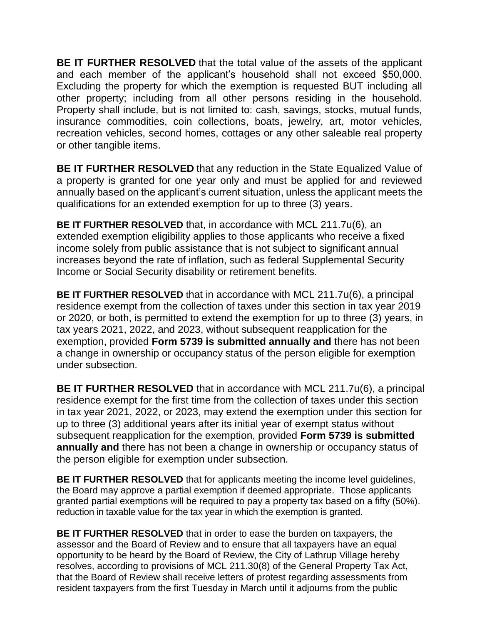**BE IT FURTHER RESOLVED** that the total value of the assets of the applicant and each member of the applicant's household shall not exceed \$50,000. Excluding the property for which the exemption is requested BUT including all other property; including from all other persons residing in the household. Property shall include, but is not limited to: cash, savings, stocks, mutual funds, insurance commodities, coin collections, boats, jewelry, art, motor vehicles, recreation vehicles, second homes, cottages or any other saleable real property or other tangible items.

**BE IT FURTHER RESOLVED** that any reduction in the State Equalized Value of a property is granted for one year only and must be applied for and reviewed annually based on the applicant's current situation, unless the applicant meets the qualifications for an extended exemption for up to three (3) years.

**BE IT FURTHER RESOLVED** that, in accordance with MCL 211.7u(6), an extended exemption eligibility applies to those applicants who receive a fixed income solely from public assistance that is not subject to significant annual increases beyond the rate of inflation, such as federal Supplemental Security Income or Social Security disability or retirement benefits.

**BE IT FURTHER RESOLVED** that in accordance with MCL 211.7u(6), a principal residence exempt from the collection of taxes under this section in tax year 2019 or 2020, or both, is permitted to extend the exemption for up to three (3) years, in tax years 2021, 2022, and 2023, without subsequent reapplication for the exemption, provided **Form 5739 is submitted annually and** there has not been a change in ownership or occupancy status of the person eligible for exemption under subsection.

**BE IT FURTHER RESOLVED** that in accordance with MCL 211.7u(6), a principal residence exempt for the first time from the collection of taxes under this section in tax year 2021, 2022, or 2023, may extend the exemption under this section for up to three (3) additional years after its initial year of exempt status without subsequent reapplication for the exemption, provided **Form 5739 is submitted annually and** there has not been a change in ownership or occupancy status of the person eligible for exemption under subsection.

**BE IT FURTHER RESOLVED** that for applicants meeting the income level quidelines, the Board may approve a partial exemption if deemed appropriate. Those applicants granted partial exemptions will be required to pay a property tax based on a fifty (50%). reduction in taxable value for the tax year in which the exemption is granted.

**BE IT FURTHER RESOLVED** that in order to ease the burden on taxpayers, the assessor and the Board of Review and to ensure that all taxpayers have an equal opportunity to be heard by the Board of Review, the City of Lathrup Village hereby resolves, according to provisions of MCL 211.30(8) of the General Property Tax Act, that the Board of Review shall receive letters of protest regarding assessments from resident taxpayers from the first Tuesday in March until it adjourns from the public